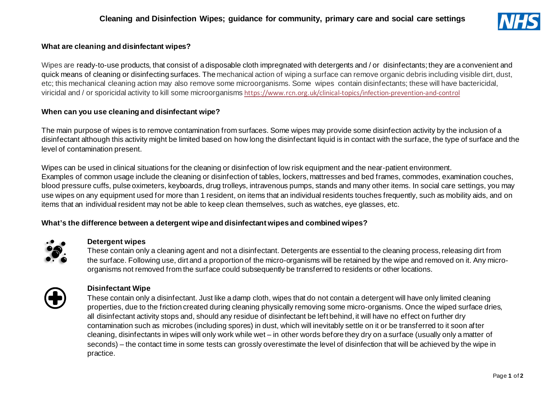

### **What are cleaning and disinfectant wipes?**

Wipes are ready-to-use products, that consist of a disposable cloth impregnated with detergents and / or disinfectants; they are a convenient and quick means of cleaning or disinfecting surfaces. The mechanical action of wiping a surface can remove organic debris including visible dirt, dust, etc; this mechanical cleaning action may also remove some microorganisms. Some wipes contain disinfectants; these will have bactericidal, viricidal and / or sporicidal activity to kill some microorganisms <https://www.rcn.org.uk/clinical-topics/infection-prevention-and-control>

#### **When can you use cleaning and disinfectant wipe?**

The main purpose of wipes is to remove contamination from surfaces. Some wipes may provide some disinfection activity by the inclusion of a disinfectant although this activity might be limited based on how long the disinfectant liquid is in contact with the surface, the type of surface and the level of contamination present.

Wipes can be used in clinical situations for the cleaning or disinfection of low risk equipment and the near-patient environment. Examples of common usage include the cleaning or disinfection of tables, lockers, mattresses and bed frames, commodes, examination couches, blood pressure cuffs, pulse oximeters, keyboards, drug trolleys, intravenous pumps, stands and many other items. In social care settings, you may use wipes on any equipment used for more than 1 resident, on items that an individual residents touches frequently, such as mobility aids, and on items that an individual resident may not be able to keep clean themselves, such as watches, eye glasses, etc.

## **What's the difference between a detergent wipe and disinfectant wipes and combined wipes?**



#### **Detergent wipes**

These contain only a cleaning agent and not a disinfectant. Detergents are essential to the cleaning process, releasing dirt from the surface. Following use, dirt and a proportion of the micro-organisms will be retained by the wipe and removed on it. Any microorganisms not removed from the surface could subsequently be transferred to residents or other locations.



#### **Disinfectant Wipe**

These contain only a disinfectant. Just like a damp cloth, wipes that do not contain a detergent will have only limited cleaning properties, due to the friction created during cleaning physically removing some micro-organisms. Once the wiped surface dries, all disinfectant activity stops and, should any residue of disinfectant be left behind, it will have no effect on further dry contamination such as microbes (including spores) in dust, which will inevitably settle on it or be transferred to it soon after cleaning, disinfectants in wipes will only work while wet – in other words before they dry on a surface (usually only a matter of seconds) – the contact time in some tests can grossly overestimate the level of disinfection that will be achieved by the wipe in practice.